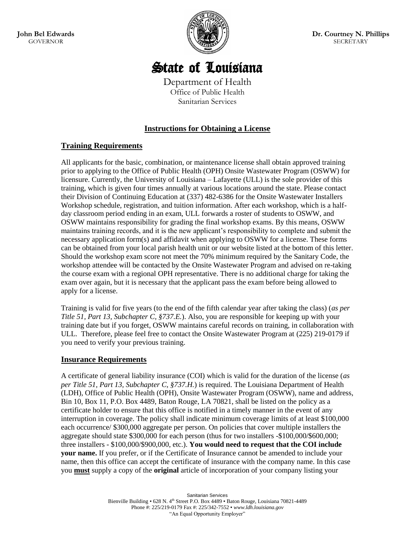**John Bel Edwards** GOVERNOR



**Dr. Courtney N. Phillips** SECRETARY

# State of Louisiana

Department of Health Office of Public Health Sanitarian Services

## **Instructions for Obtaining a License**

## **Training Requirements**

All applicants for the basic, combination, or maintenance license shall obtain approved training prior to applying to the Office of Public Health (OPH) Onsite Wastewater Program (OSWW) for licensure. Currently, the University of Louisiana – Lafayette (ULL) is the sole provider of this training, which is given four times annually at various locations around the state. Please contact their Division of Continuing Education at (337) 482-6386 for the Onsite Wastewater Installers Workshop schedule, registration, and tuition information. After each workshop, which is a halfday classroom period ending in an exam, ULL forwards a roster of students to OSWW, and OSWW maintains responsibility for grading the final workshop exams. By this means, OSWW maintains training records, and it is the new applicant's responsibility to complete and submit the necessary application form(s) and affidavit when applying to OSWW for a license. These forms can be obtained from your local parish health unit or our website listed at the bottom of this letter. Should the workshop exam score not meet the 70% minimum required by the Sanitary Code, the workshop attendee will be contacted by the Onsite Wastewater Program and advised on re-taking the course exam with a regional OPH representative. There is no additional charge for taking the exam over again, but it is necessary that the applicant pass the exam before being allowed to apply for a license.

Training is valid for five years (to the end of the fifth calendar year after taking the class) (*as per Title 51, Part 13, Subchapter C, §737.E.*). Also, you are responsible for keeping up with your training date but if you forget, OSWW maintains careful records on training, in collaboration with ULL. Therefore, please feel free to contact the Onsite Wastewater Program at (225) 219-0179 if you need to verify your previous training.

## **Insurance Requirements**

A certificate of general liability insurance (COI) which is valid for the duration of the license (*as per Title 51, Part 13, Subchapter C, §737.H.*) is required. The Louisiana Department of Health (LDH), Office of Public Health (OPH), Onsite Wastewater Program (OSWW), name and address, Bin 10, Box 11, P.O. Box 4489, Baton Rouge, LA 70821, shall be listed on the policy as a certificate holder to ensure that this office is notified in a timely manner in the event of any interruption in coverage. The policy shall indicate minimum coverage limits of at least \$100,000 each occurrence/ \$300,000 aggregate per person. On policies that cover multiple installers the aggregate should state \$300,000 for each person (thus for two installers -\$100,000/\$600,000; three installers - \$100,000/\$900,000, etc.). **You would need to request that the COI include your name.** If you prefer, or if the Certificate of Insurance cannot be amended to include your name, then this office can accept the certificate of insurance with the company name. In this case you **must** supply a copy of the **original** article of incorporation of your company listing your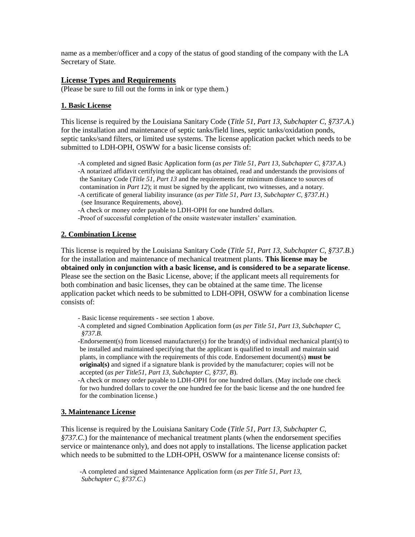name as a member/officer and a copy of the status of good standing of the company with the LA Secretary of State.

#### **License Types and Requirements**

(Please be sure to fill out the forms in ink or type them.)

#### **1. Basic License**

This license is required by the Louisiana Sanitary Code (*Title 51, Part 13, Subchapter C, §737.A.*) for the installation and maintenance of septic tanks/field lines, septic tanks/oxidation ponds, septic tanks/sand filters, or limited use systems. The license application packet which needs to be submitted to LDH-OPH, OSWW for a basic license consists of:

 -A completed and signed Basic Application form (*as per Title 51, Part 13, Subchapter C, §737.A*.) -A notarized affidavit certifying the applicant has obtained, read and understands the provisions of the Sanitary Code (*Title 51, Part 13* and the requirements for minimum distance to sources of contamination in *Part 12*); it must be signed by the applicant, two witnesses, and a notary. -A certificate of general liability insurance (*as per Title 51, Part 13, Subchapter C, §737.H*.) (see Insurance Requirements, above).

-A check or money order payable to LDH-OPH for one hundred dollars.

-Proof of successful completion of the onsite wastewater installers' examination.

#### **2. Combination License**

This license is required by the Louisiana Sanitary Code (*Title 51, Part 13, Subchapter C, §737.B*.) for the installation and maintenance of mechanical treatment plants. **This license may be obtained only in conjunction with a basic license, and is considered to be a separate license**. Please see the section on the Basic License, above; if the applicant meets all requirements for both combination and basic licenses, they can be obtained at the same time. The license application packet which needs to be submitted to LDH-OPH, OSWW for a combination license consists of:

- Basic license requirements see section 1 above.
- -A completed and signed Combination Application form (*as per Title 51, Part 13, Subchapter C, §737.B.*

 -Endorsement(s) from licensed manufacturer(s) for the brand(s) of individual mechanical plant(s) to be installed and maintained specifying that the applicant is qualified to install and maintain said plants, in compliance with the requirements of this code. Endorsement document(s) **must be original(s)** and signed if a signature blank is provided by the manufacturer; copies will not be accepted (*as per Title51, Part 13, Subchapter C, §737, B*).

 -A check or money order payable to LDH-OPH for one hundred dollars. (May include one check for two hundred dollars to cover the one hundred fee for the basic license and the one hundred fee for the combination license.)

### **3. Maintenance License**

This license is required by the Louisiana Sanitary Code (*Title 51, Part 13, Subchapter C, §737.C*.) for the maintenance of mechanical treatment plants (when the endorsement specifies service or maintenance only), and does not apply to installations. The license application packet which needs to be submitted to the LDH-OPH, OSWW for a maintenance license consists of:

 -A completed and signed Maintenance Application form (*as per Title 51, Part 13, Subchapter C, §737.C*.)